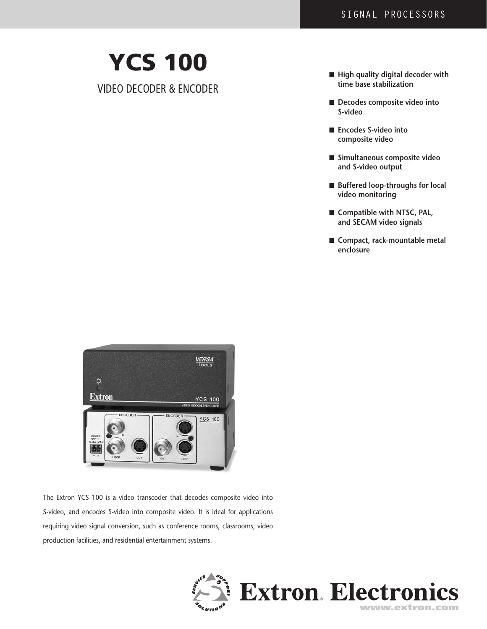# YCS 100

Video Decoder & Encoder

- n **High quality digital decoder with time base stabilization**
- Decodes composite video into **S-video**
- Encodes S-video into **composite video**
- n **Simultaneous composite video and S-video output**
- Buffered loop-throughs for local **video monitoring**
- Compatible with NTSC, PAL, **and SECAM video signals**
- Compact, rack-mountable metal **enclosure**



The Extron YCS 100 is a video transcoder that decodes composite video into S-video, and encodes S-video into composite video. It is ideal for applications requiring video signal conversion, such as conference rooms, classrooms, video production facilities, and residential entertainment systems.